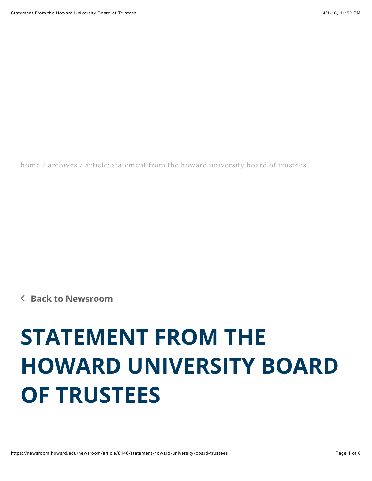[home](https://newsroom.howard.edu/) / [archives](https://newsroom.howard.edu/newsroom) / article: statement from the howard university board of trustees

∠ **[Back to Newsroom](https://newsroom.howard.edu/newsroom/)**

## **STATEMENT FROM THE HOWARD UNIVERSITY BOARD OF TRUSTEES**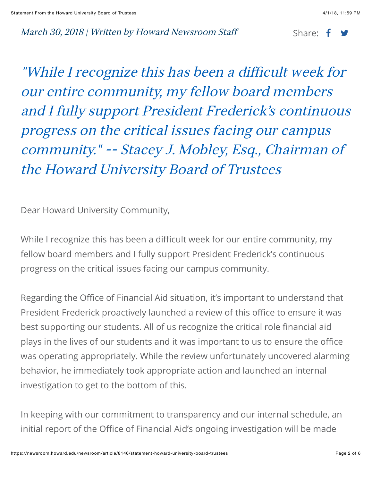## March 30, 2018 | Written by Howard Newsroom Staff Share:  $\mathbf{f}$

"While I recognize this has been a difficult week for our entire community, my fellow board members and I fully support President Frederick's continuous progress on the critical issues facing our campus community." -- Stacey J. Mobley, Esq., Chairman of the Howard University Board of Trustees

Dear Howard University Community,

While I recognize this has been a difficult week for our entire community, my fellow board members and I fully support President Frederick's continuous progress on the critical issues facing our campus community.

Regarding the Office of Financial Aid situation, it's important to understand that President Frederick proactively launched a review of this office to ensure it was best supporting our students. All of us recognize the critical role financial aid plays in the lives of our students and it was important to us to ensure the office was operating appropriately. While the review unfortunately uncovered alarming behavior, he immediately took appropriate action and launched an internal investigation to get to the bottom of this.

In keeping with our commitment to transparency and our internal schedule, an initial report of the Office of Financial Aid's ongoing investigation will be made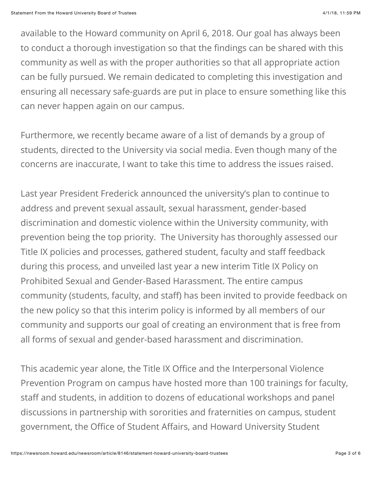available to the Howard community on April 6, 2018. Our goal has always been to conduct a thorough investigation so that the findings can be shared with this community as well as with the proper authorities so that all appropriate action can be fully pursued. We remain dedicated to completing this investigation and ensuring all necessary safe-guards are put in place to ensure something like this can never happen again on our campus.

Furthermore, we recently became aware of a list of demands by a group of students, directed to the University via social media. Even though many of the concerns are inaccurate, I want to take this time to address the issues raised.

Last year President Frederick announced the university's plan to continue to address and prevent sexual assault, sexual harassment, gender-based discrimination and domestic violence within the University community, with prevention being the top priority. The University has thoroughly assessed our Title IX policies and processes, gathered student, faculty and staff feedback during this process, and unveiled last year a new interim Title IX Policy on Prohibited Sexual and Gender-Based Harassment. The entire campus community (students, faculty, and staff) has been invited to provide feedback on the new policy so that this interim policy is informed by all members of our community and supports our goal of creating an environment that is free from all forms of sexual and gender-based harassment and discrimination.

This academic year alone, the Title IX Office and the Interpersonal Violence Prevention Program on campus have hosted more than 100 trainings for faculty, staff and students, in addition to dozens of educational workshops and panel discussions in partnership with sororities and fraternities on campus, student government, the Office of Student Affairs, and Howard University Student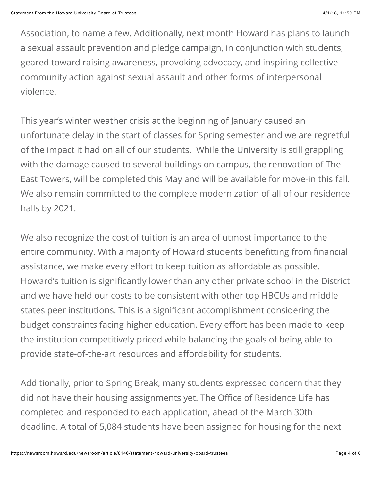Association, to name a few. Additionally, next month Howard has plans to launch a sexual assault prevention and pledge campaign, in conjunction with students, geared toward raising awareness, provoking advocacy, and inspiring collective community action against sexual assault and other forms of interpersonal violence.

This year's winter weather crisis at the beginning of January caused an unfortunate delay in the start of classes for Spring semester and we are regretful of the impact it had on all of our students. While the University is still grappling with the damage caused to several buildings on campus, the renovation of The East Towers, will be completed this May and will be available for move-in this fall. We also remain committed to the complete modernization of all of our residence halls by 2021.

We also recognize the cost of tuition is an area of utmost importance to the entire community. With a majority of Howard students benefitting from financial assistance, we make every effort to keep tuition as affordable as possible. Howard's tuition is significantly lower than any other private school in the District and we have held our costs to be consistent with other top HBCUs and middle states peer institutions. This is a significant accomplishment considering the budget constraints facing higher education. Every effort has been made to keep the institution competitively priced while balancing the goals of being able to provide state-of-the-art resources and affordability for students.

Additionally, prior to Spring Break, many students expressed concern that they did not have their housing assignments yet. The Office of Residence Life has completed and responded to each application, ahead of the March 30th deadline. A total of 5,084 students have been assigned for housing for the next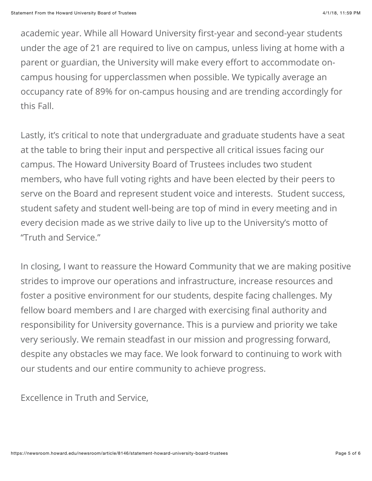academic year. While all Howard University first-year and second-year students under the age of 21 are required to live on campus, unless living at home with a parent or guardian, the University will make every effort to accommodate oncampus housing for upperclassmen when possible. We typically average an occupancy rate of 89% for on-campus housing and are trending accordingly for this Fall.

Lastly, it's critical to note that undergraduate and graduate students have a seat at the table to bring their input and perspective all critical issues facing our campus. The Howard University Board of Trustees includes two student members, who have full voting rights and have been elected by their peers to serve on the Board and represent student voice and interests. Student success, student safety and student well-being are top of mind in every meeting and in every decision made as we strive daily to live up to the University's motto of "Truth and Service."

In closing, I want to reassure the Howard Community that we are making positive strides to improve our operations and infrastructure, increase resources and foster a positive environment for our students, despite facing challenges. My fellow board members and I are charged with exercising final authority and responsibility for University governance. This is a purview and priority we take very seriously. We remain steadfast in our mission and progressing forward, despite any obstacles we may face. We look forward to continuing to work with our students and our entire community to achieve progress.

Excellence in Truth and Service,